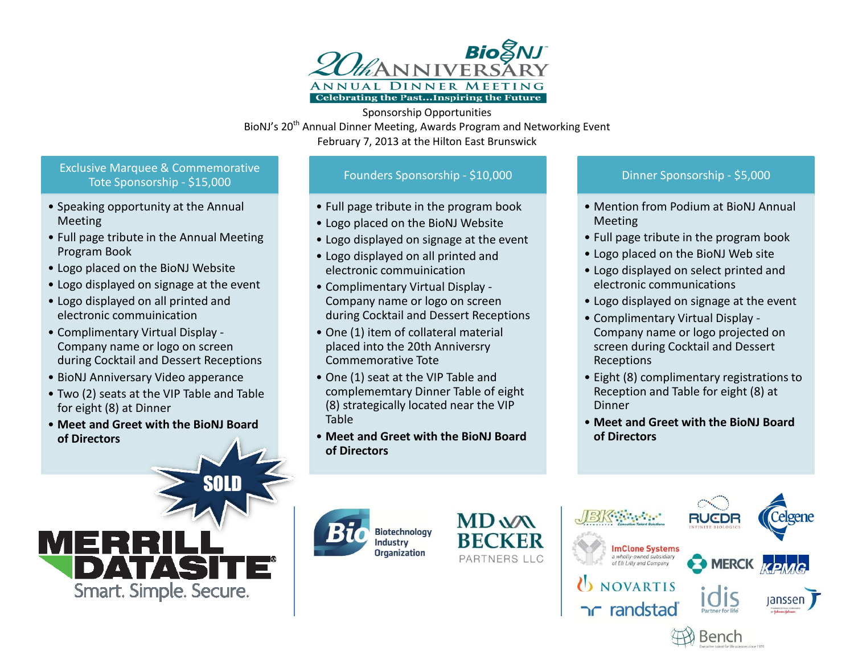

Sponsorship Opportunities BioNJ's 20<sup>th</sup> Annual Dinner Meeting, Awards Program and Networking Event February 7, 2013 at the Hilton East Brunswick

## Exclusive Marquee & Commemorative Tote Sponsorship - \$15,000

- Speaking opportunity at the Annual Meeting
- Full page tribute in the Annual Meeting Program Book
- Logo placed on the BioNJ Website
- Logo displayed on signage at the event
- Logo displayed on all printed and electronic commuinication
- Complimentary Virtual Display Company name or logo on screen during Cocktail and Dessert Receptions
- BioNJ Anniversary Video apperance
- Two (2) seats at the VIP Table and Table for eight (8) at Dinner
- **Meet and Greet with the BioNJ Board of Directors**



SOLD

## Founders Sponsorship - \$10,000

- Full page tribute in the program book
- Logo placed on the BioNJ Website
- Logo displayed on signage at the event
- Logo displayed on all printed and electronic commuinication
- Complimentary Virtual Display Company name or logo on screen during Cocktail and Dessert Receptions
- One (1) item of collateral material placed into the 20th Anniversry Commemorative Tote
- One (1) seat at the VIP Table and complememtary Dinner Table of eight (8) strategically located near the VIP Table
- **Meet and Greet with the BioNJ Board of Directors**

## Dinner Sponsorship - \$5,000

- Mention from Podium at BioNJ Annual Meeting
- Full page tribute in the program book
- Logo placed on the BioNJ Web site
- Logo displayed on select printed and electronic communications
- Logo displayed on signage at the event
- Complimentary Virtual Display Company name or logo projected on screen during Cocktail and Dessert Receptions
- Eight (8) complimentary registrations to Reception and Table for eight (8) at Dinner
- **Meet and Greet with the BioNJ Board of Directors**